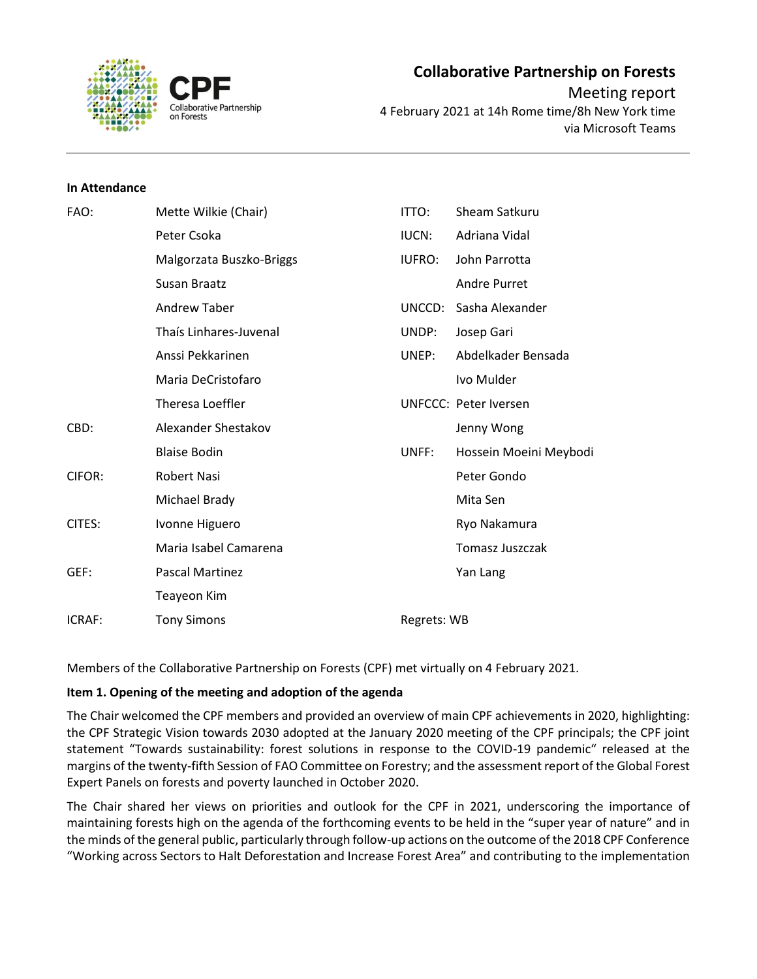

# **Collaborative Partnership on Forests** Meeting report 4 February 2021 at 14h Rome time/8h New York time

via Microsoft Teams

## **In Attendance**

| FAO:   | Mette Wilkie (Chair)     | ITTO:         | Sheam Satkuru                |
|--------|--------------------------|---------------|------------------------------|
|        | Peter Csoka              | IUCN:         | Adriana Vidal                |
|        | Malgorzata Buszko-Briggs | <b>IUFRO:</b> | John Parrotta                |
|        | Susan Braatz             |               | <b>Andre Purret</b>          |
|        | Andrew Taber             | UNCCD:        | Sasha Alexander              |
|        | Thaís Linhares-Juvenal   | UNDP:         | Josep Gari                   |
|        | Anssi Pekkarinen         | UNEP:         | Abdelkader Bensada           |
|        | Maria DeCristofaro       |               | Ivo Mulder                   |
|        | Theresa Loeffler         |               | <b>UNFCCC: Peter Iversen</b> |
| CBD:   | Alexander Shestakov      |               | Jenny Wong                   |
|        | <b>Blaise Bodin</b>      | UNFF:         | Hossein Moeini Meybodi       |
| CIFOR: | <b>Robert Nasi</b>       |               | Peter Gondo                  |
|        | Michael Brady            |               | Mita Sen                     |
| CITES: | Ivonne Higuero           |               | Ryo Nakamura                 |
|        | Maria Isabel Camarena    |               | <b>Tomasz Juszczak</b>       |
| GEF:   | <b>Pascal Martinez</b>   |               | Yan Lang                     |
|        | Teayeon Kim              |               |                              |
| ICRAF: | <b>Tony Simons</b>       | Regrets: WB   |                              |

Members of the Collaborative Partnership on Forests (CPF) met virtually on 4 February 2021.

# **Item 1. Opening of the meeting and adoption of the agenda**

The Chair welcomed the CPF members and provided an overview of main CPF achievements in 2020, highlighting: the CPF Strategic Vision towards 2030 adopted at the January 2020 meeting of the CPF principals; the CPF joint statement "Towards sustainability: forest solutions in response to the COVID-19 pandemic" released at the margins of the twenty-fifth Session of FAO Committee on Forestry; and the assessment report of the Global Forest Expert Panels on forests and poverty launched in October 2020.

The Chair shared her views on priorities and outlook for the CPF in 2021, underscoring the importance of maintaining forests high on the agenda of the forthcoming events to be held in the "super year of nature" and in the minds ofthe general public, particularly through follow-up actions on the outcome of the 2018 CPF Conference "Working across Sectors to Halt Deforestation and Increase Forest Area" and contributing to the implementation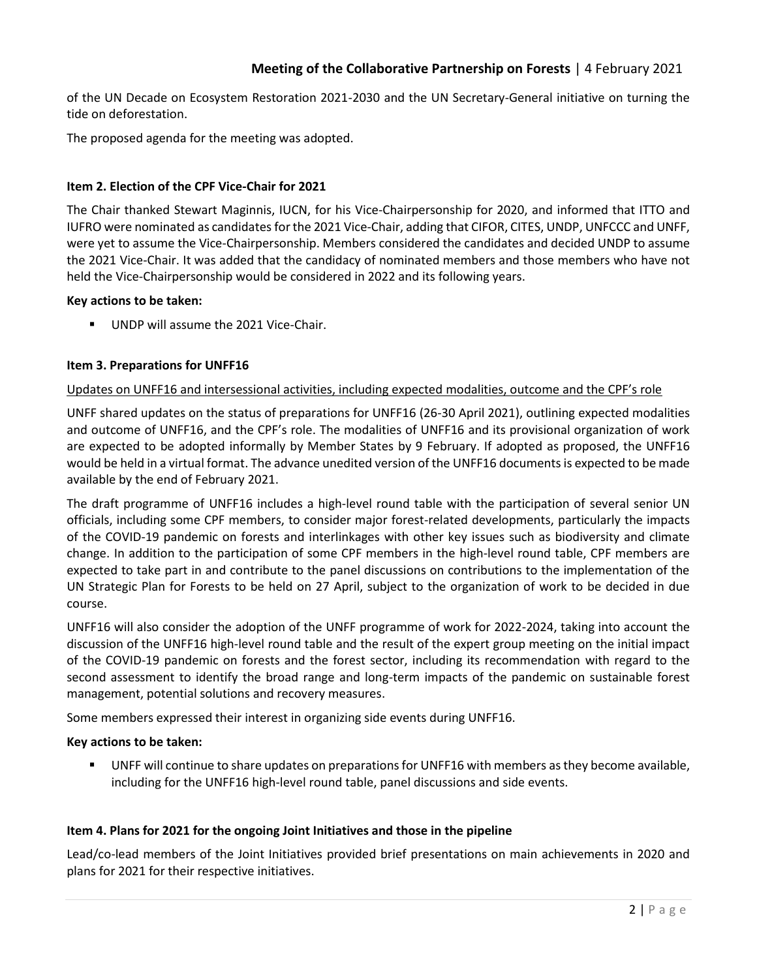of the UN Decade on Ecosystem Restoration 2021-2030 and the UN Secretary-General initiative on turning the tide on deforestation.

The proposed agenda for the meeting was adopted.

# **Item 2. Election of the CPF Vice-Chair for 2021**

The Chair thanked Stewart Maginnis, IUCN, for his Vice-Chairpersonship for 2020, and informed that ITTO and IUFRO were nominated as candidates for the 2021 Vice-Chair, adding that CIFOR, CITES, UNDP, UNFCCC and UNFF, were yet to assume the Vice-Chairpersonship. Members considered the candidates and decided UNDP to assume the 2021 Vice-Chair. It was added that the candidacy of nominated members and those members who have not held the Vice-Chairpersonship would be considered in 2022 and its following years.

### **Key actions to be taken:**

UNDP will assume the 2021 Vice-Chair.

# **Item 3. Preparations for UNFF16**

## Updates on UNFF16 and intersessional activities, including expected modalities, outcome and the CPF's role

UNFF shared updates on the status of preparations for UNFF16 (26-30 April 2021), outlining expected modalities and outcome of UNFF16, and the CPF's role. The modalities of UNFF16 and its provisional organization of work are expected to be adopted informally by Member States by 9 February. If adopted as proposed, the UNFF16 would be held in a virtual format. The advance unedited version of the UNFF16 documents is expected to be made available by the end of February 2021.

The draft programme of UNFF16 includes a high-level round table with the participation of several senior UN officials, including some CPF members, to consider major forest-related developments, particularly the impacts of the COVID-19 pandemic on forests and interlinkages with other key issues such as biodiversity and climate change. In addition to the participation of some CPF members in the high-level round table, CPF members are expected to take part in and contribute to the panel discussions on contributions to the implementation of the UN Strategic Plan for Forests to be held on 27 April, subject to the organization of work to be decided in due course.

UNFF16 will also consider the adoption of the UNFF programme of work for 2022-2024, taking into account the discussion of the UNFF16 high-level round table and the result of the expert group meeting on the initial impact of the COVID-19 pandemic on forests and the forest sector, including its recommendation with regard to the second assessment to identify the broad range and long-term impacts of the pandemic on sustainable forest management, potential solutions and recovery measures.

Some members expressed their interest in organizing side events during UNFF16.

### **Key actions to be taken:**

UNFF will continue to share updates on preparations for UNFF16 with members as they become available, including for the UNFF16 high-level round table, panel discussions and side events.

# **Item 4. Plans for 2021 for the ongoing Joint Initiatives and those in the pipeline**

Lead/co-lead members of the Joint Initiatives provided brief presentations on main achievements in 2020 and plans for 2021 for their respective initiatives.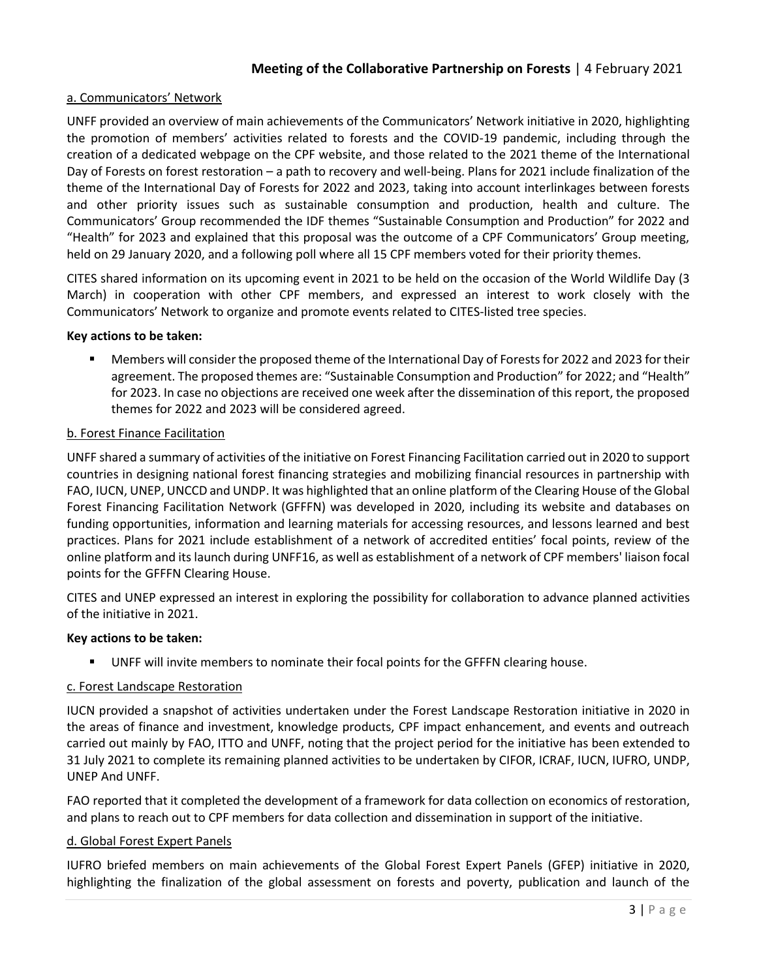# a. Communicators' Network

UNFF provided an overview of main achievements of the Communicators' Network initiative in 2020, highlighting the promotion of members' activities related to forests and the COVID-19 pandemic, including through the creation of a dedicated webpage on the CPF website, and those related to the 2021 theme of the International Day of Forests on forest restoration – a path to recovery and well-being. Plans for 2021 include finalization of the theme of the International Day of Forests for 2022 and 2023, taking into account interlinkages between forests and other priority issues such as sustainable consumption and production, health and culture. The Communicators' Group recommended the IDF themes "Sustainable Consumption and Production" for 2022 and "Health" for 2023 and explained that this proposal was the outcome of a CPF Communicators' Group meeting, held on 29 January 2020, and a following poll where all 15 CPF members voted for their priority themes.

CITES shared information on its upcoming event in 2021 to be held on the occasion of the World Wildlife Day (3 March) in cooperation with other CPF members, and expressed an interest to work closely with the Communicators' Network to organize and promote events related to CITES-listed tree species.

### **Key actions to be taken:**

▪ Members will consider the proposed theme of the International Day of Forests for 2022 and 2023 for their agreement. The proposed themes are: "Sustainable Consumption and Production" for 2022; and "Health" for 2023. In case no objections are received one week after the dissemination of this report, the proposed themes for 2022 and 2023 will be considered agreed.

## b. Forest Finance Facilitation

UNFF shared a summary of activities of the initiative on Forest Financing Facilitation carried out in 2020 to support countries in designing national forest financing strategies and mobilizing financial resources in partnership with FAO, IUCN, UNEP, UNCCD and UNDP. It was highlighted that an online platform of the Clearing House of the Global Forest Financing Facilitation Network (GFFFN) was developed in 2020, including its website and databases on funding opportunities, information and learning materials for accessing resources, and lessons learned and best practices. Plans for 2021 include establishment of a network of accredited entities' focal points, review of the online platform and its launch during UNFF16, as well as establishment of a network of CPF members' liaison focal points for the GFFFN Clearing House.

CITES and UNEP expressed an interest in exploring the possibility for collaboration to advance planned activities of the initiative in 2021.

### **Key actions to be taken:**

UNFF will invite members to nominate their focal points for the GFFFN clearing house.

### c. Forest Landscape Restoration

IUCN provided a snapshot of activities undertaken under the Forest Landscape Restoration initiative in 2020 in the areas of finance and investment, knowledge products, CPF impact enhancement, and events and outreach carried out mainly by FAO, ITTO and UNFF, noting that the project period for the initiative has been extended to 31 July 2021 to complete its remaining planned activities to be undertaken by CIFOR, ICRAF, IUCN, IUFRO, UNDP, UNEP And UNFF.

FAO reported that it completed the development of a framework for data collection on economics of restoration, and plans to reach out to CPF members for data collection and dissemination in support of the initiative.

### d. Global Forest Expert Panels

IUFRO briefed members on main achievements of the Global Forest Expert Panels (GFEP) initiative in 2020, highlighting the finalization of the global assessment on forests and poverty, publication and launch of the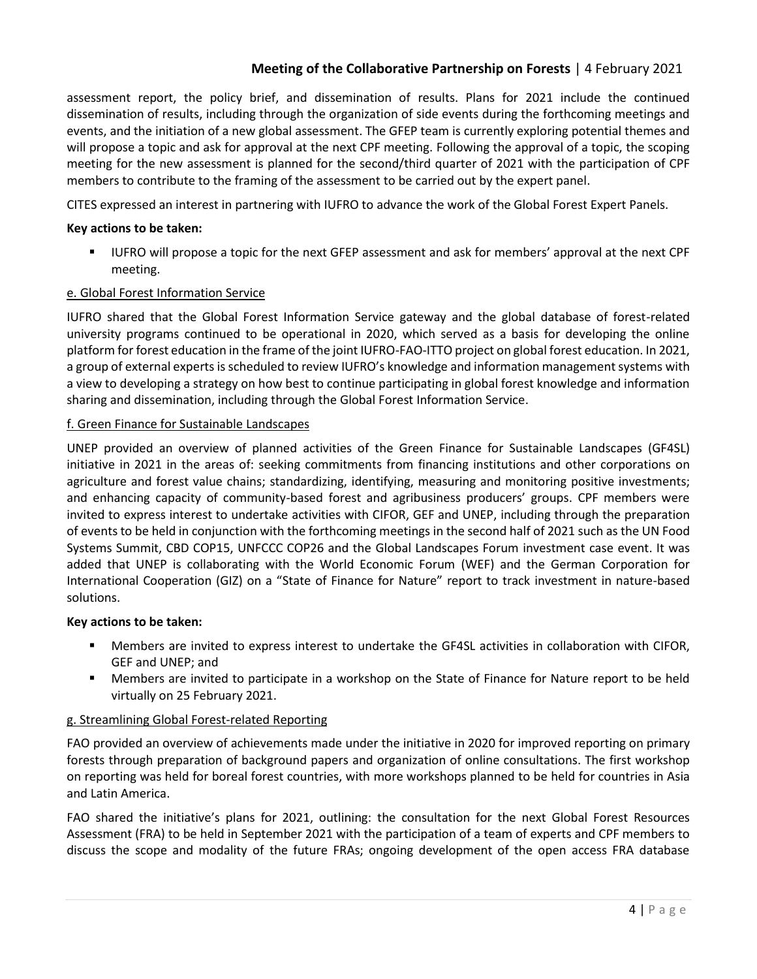assessment report, the policy brief, and dissemination of results. Plans for 2021 include the continued dissemination of results, including through the organization of side events during the forthcoming meetings and events, and the initiation of a new global assessment. The GFEP team is currently exploring potential themes and will propose a topic and ask for approval at the next CPF meeting. Following the approval of a topic, the scoping meeting for the new assessment is planned for the second/third quarter of 2021 with the participation of CPF members to contribute to the framing of the assessment to be carried out by the expert panel.

CITES expressed an interest in partnering with IUFRO to advance the work of the Global Forest Expert Panels.

# **Key actions to be taken:**

▪ IUFRO will propose a topic for the next GFEP assessment and ask for members' approval at the next CPF meeting.

# e. Global Forest Information Service

IUFRO shared that the Global Forest Information Service gateway and the global database of forest-related university programs continued to be operational in 2020, which served as a basis for developing the online platform for forest education in the frame of the joint IUFRO-FAO-ITTO project on global forest education. In 2021, a group of external experts is scheduled to review IUFRO's knowledge and information management systems with a view to developing a strategy on how best to continue participating in global forest knowledge and information sharing and dissemination, including through the Global Forest Information Service.

# f. Green Finance for Sustainable Landscapes

UNEP provided an overview of planned activities of the Green Finance for Sustainable Landscapes (GF4SL) initiative in 2021 in the areas of: seeking commitments from financing institutions and other corporations on agriculture and forest value chains; standardizing, identifying, measuring and monitoring positive investments; and enhancing capacity of community-based forest and agribusiness producers' groups. CPF members were invited to express interest to undertake activities with CIFOR, GEF and UNEP, including through the preparation of events to be held in conjunction with the forthcoming meetings in the second half of 2021 such as the UN Food Systems Summit, CBD COP15, UNFCCC COP26 and the Global Landscapes Forum investment case event. It was added that UNEP is collaborating with the World Economic Forum (WEF) and the German Corporation for International Cooperation (GIZ) on a "State of Finance for Nature" report to track investment in nature-based solutions.

# **Key actions to be taken:**

- Members are invited to express interest to undertake the GF4SL activities in collaboration with CIFOR, GEF and UNEP; and
- Members are invited to participate in a workshop on the State of Finance for Nature report to be held virtually on 25 February 2021.

# g. Streamlining Global Forest-related Reporting

FAO provided an overview of achievements made under the initiative in 2020 for improved reporting on primary forests through preparation of background papers and organization of online consultations. The first workshop on reporting was held for boreal forest countries, with more workshops planned to be held for countries in Asia and Latin America.

FAO shared the initiative's plans for 2021, outlining: the consultation for the next Global Forest Resources Assessment (FRA) to be held in September 2021 with the participation of a team of experts and CPF members to discuss the scope and modality of the future FRAs; ongoing development of the open access FRA database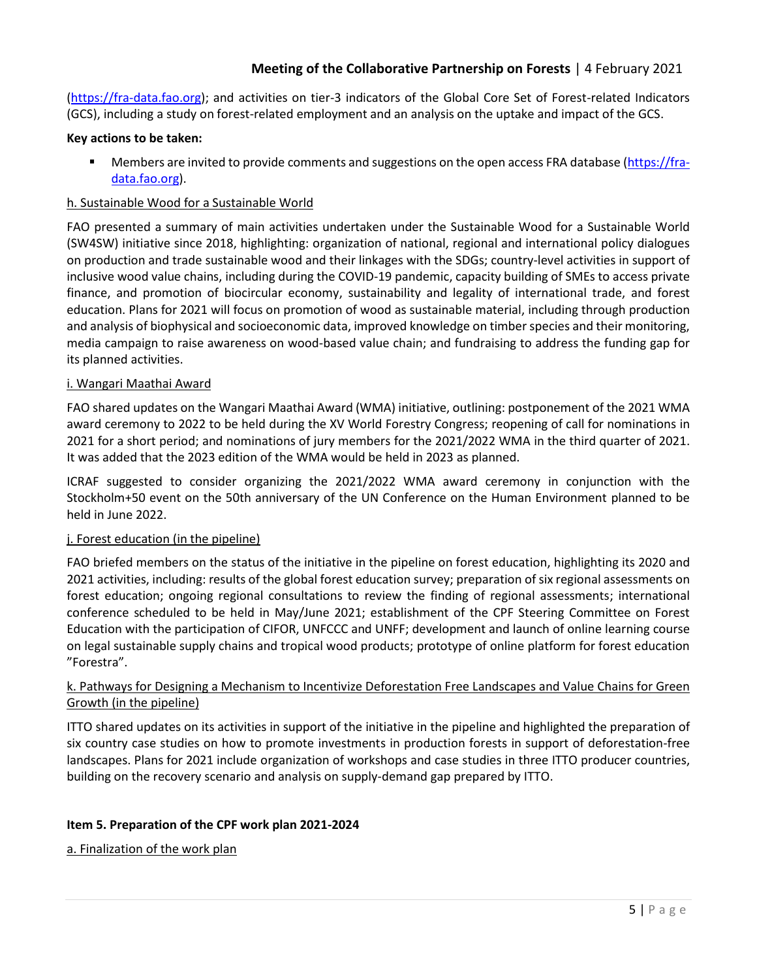[\(https://fra-data.fao.org\)](https://fra-data.fao.org/); and activities on tier-3 indicators of the Global Core Set of Forest-related Indicators (GCS), including a study on forest-related employment and an analysis on the uptake and impact of the GCS.

## **Key actions to be taken:**

Members are invited to provide comments and suggestions on the open access FRA database [\(https://fra](https://fra-data.fao.org/)[data.fao.org\)](https://fra-data.fao.org/).

## h. Sustainable Wood for a Sustainable World

FAO presented a summary of main activities undertaken under the Sustainable Wood for a Sustainable World (SW4SW) initiative since 2018, highlighting: organization of national, regional and international policy dialogues on production and trade sustainable wood and their linkages with the SDGs; country-level activities in support of inclusive wood value chains, including during the COVID-19 pandemic, capacity building of SMEs to access private finance, and promotion of biocircular economy, sustainability and legality of international trade, and forest education. Plans for 2021 will focus on promotion of wood as sustainable material, including through production and analysis of biophysical and socioeconomic data, improved knowledge on timber species and their monitoring, media campaign to raise awareness on wood-based value chain; and fundraising to address the funding gap for its planned activities.

## i. Wangari Maathai Award

FAO shared updates on the Wangari Maathai Award (WMA) initiative, outlining: postponement of the 2021 WMA award ceremony to 2022 to be held during the XV World Forestry Congress; reopening of call for nominations in 2021 for a short period; and nominations of jury members for the 2021/2022 WMA in the third quarter of 2021. It was added that the 2023 edition of the WMA would be held in 2023 as planned.

ICRAF suggested to consider organizing the 2021/2022 WMA award ceremony in conjunction with the Stockholm+50 event on the 50th anniversary of the UN Conference on the Human Environment planned to be held in June 2022.

### j. Forest education (in the pipeline)

FAO briefed members on the status of the initiative in the pipeline on forest education, highlighting its 2020 and 2021 activities, including: results of the global forest education survey; preparation of six regional assessments on forest education; ongoing regional consultations to review the finding of regional assessments; international conference scheduled to be held in May/June 2021; establishment of the CPF Steering Committee on Forest Education with the participation of CIFOR, UNFCCC and UNFF; development and launch of online learning course on legal sustainable supply chains and tropical wood products; prototype of online platform for forest education "Forestra".

# k. Pathways for Designing a Mechanism to Incentivize Deforestation Free Landscapes and Value Chains for Green Growth (in the pipeline)

ITTO shared updates on its activities in support of the initiative in the pipeline and highlighted the preparation of six country case studies on how to promote investments in production forests in support of deforestation-free landscapes. Plans for 2021 include organization of workshops and case studies in three ITTO producer countries, building on the recovery scenario and analysis on supply-demand gap prepared by ITTO.

# **Item 5. Preparation of the CPF work plan 2021-2024**

a. Finalization of the work plan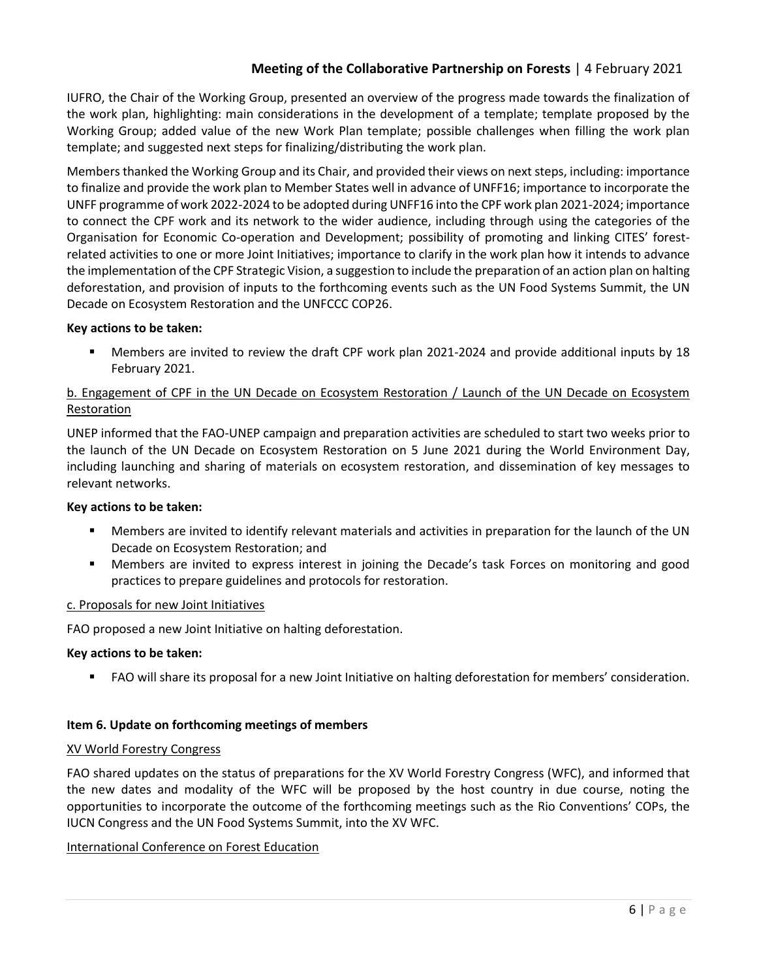IUFRO, the Chair of the Working Group, presented an overview of the progress made towards the finalization of the work plan, highlighting: main considerations in the development of a template; template proposed by the Working Group; added value of the new Work Plan template; possible challenges when filling the work plan template; and suggested next steps for finalizing/distributing the work plan.

Members thanked the Working Group and its Chair, and provided their views on next steps, including: importance to finalize and provide the work plan to Member States well in advance of UNFF16; importance to incorporate the UNFF programme of work 2022-2024 to be adopted during UNFF16 into the CPF work plan 2021-2024; importance to connect the CPF work and its network to the wider audience, including through using the categories of the Organisation for Economic Co-operation and Development; possibility of promoting and linking CITES' forestrelated activities to one or more Joint Initiatives; importance to clarify in the work plan how it intends to advance the implementation of the CPF Strategic Vision, a suggestion to include the preparation of an action plan on halting deforestation, and provision of inputs to the forthcoming events such as the UN Food Systems Summit, the UN Decade on Ecosystem Restoration and the UNFCCC COP26.

## **Key actions to be taken:**

▪ Members are invited to review the draft CPF work plan 2021-2024 and provide additional inputs by 18 February 2021.

# b. Engagement of CPF in the UN Decade on Ecosystem Restoration / Launch of the UN Decade on Ecosystem Restoration

UNEP informed that the FAO-UNEP campaign and preparation activities are scheduled to start two weeks prior to the launch of the UN Decade on Ecosystem Restoration on 5 June 2021 during the World Environment Day, including launching and sharing of materials on ecosystem restoration, and dissemination of key messages to relevant networks.

### **Key actions to be taken:**

- Members are invited to identify relevant materials and activities in preparation for the launch of the UN Decade on Ecosystem Restoration; and
- Members are invited to express interest in joining the Decade's task Forces on monitoring and good practices to prepare guidelines and protocols for restoration.

### c. Proposals for new Joint Initiatives

FAO proposed a new Joint Initiative on halting deforestation.

### **Key actions to be taken:**

■ FAO will share its proposal for a new Joint Initiative on halting deforestation for members' consideration.

### **Item 6. Update on forthcoming meetings of members**

### XV World Forestry Congress

FAO shared updates on the status of preparations for the XV World Forestry Congress (WFC), and informed that the new dates and modality of the WFC will be proposed by the host country in due course, noting the opportunities to incorporate the outcome of the forthcoming meetings such as the Rio Conventions' COPs, the IUCN Congress and the UN Food Systems Summit, into the XV WFC.

# International Conference on Forest Education